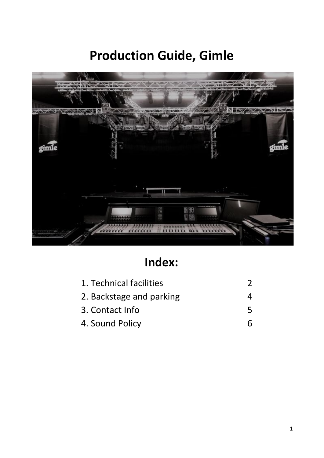# **Production Guide, Gimle**



# **Index:**

| 1. Technical facilities  |   |
|--------------------------|---|
| 2. Backstage and parking |   |
| 3. Contact Info          | ↖ |
| 4. Sound Policy          |   |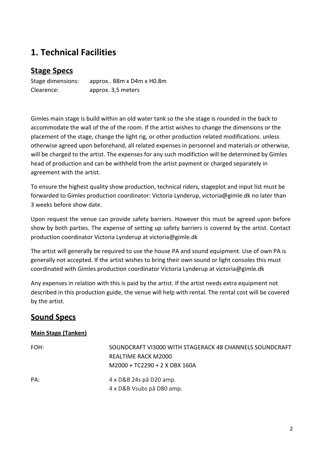## **1. Technical Facilities**

### **Stage Specs**

Stage dimensions: approx.. B8m x D4m x H0.8m Clearence: approx. 3,5 meters

Gimles main stage is build within an old water tank so the she stage is rounded in the back to accommodate the wall of the of the room. If the artist wishes to change the dimensions or the placement of the stage, change the light rig, or other production related modifications. unless otherwise agreed upon beforehand, all related expenses in personnel and materials or otherwise, will be charged to the artist. The expenses for any such modifiction will be determined by Gimles head of production and can be withheld from the artist payment or charged separately in agreement with the artist.

To ensure the highest quality show production, technical riders, stageplot and input list must be forwarded to Gimles production coordinator: Victoria Lynderup, victoria@gimle.dk no later than 3 weeks before show date.

Upon request the venue can provide safety barriers. However this must be agreed upon before show by both parties. The expense of setting up safety barriers is covered by the artist. Contact production coordinator Victoria Lynderup at victoria@gimle.dk

The artist will generally be required to use the house PA and sound equipment. Use of own PA is generally not accepted. If the artist wishes to bring their own sound or light consoles this must coordinated with Gimles production coordinator Victoria Lynderup at victoria@gimle.dk

Any expenses in relation with this is paid by the artist. If the artist needs extra equipment not described in this production guide, the venue will help with rental. The rental cost will be covered by the artist.

### **Sound Specs**

#### **Main Stage (Tanken)**

| FOH: | SOUNDCRAFT VI3000 WITH STAGERACK 48 CHANNELS SOUNDCRAFT<br>REALTIME RACK M2000<br>$M2000 + TC2290 + 2 X DBX 160A$ |
|------|-------------------------------------------------------------------------------------------------------------------|
| PA:  | 4 x D&B 24s på D20 amp.<br>4 x D&B Vsubs på D80 amp.                                                              |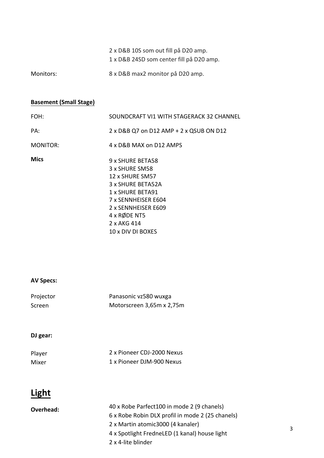|           | 2 x D&B 10S som out fill på D20 amp.     |
|-----------|------------------------------------------|
|           | 1 x D&B 24SD som center fill på D20 amp. |
| Monitors: | 8 x D&B max2 monitor på D20 amp.         |

### **Basement (Small Stage)**

| FOH:        | SOUNDCRAFT VI1 WITH STAGERACK 32 CHANNEL                                                                                                                                    |
|-------------|-----------------------------------------------------------------------------------------------------------------------------------------------------------------------------|
| PA:         | 2 x D&B Q7 on D12 AMP + 2 x QSUB ON D12                                                                                                                                     |
| MONITOR:    | 4 x D&B MAX on D12 AMPS                                                                                                                                                     |
| <b>Mics</b> | 9 x SHURE BETA58<br>3 x SHURE SM58<br>12 x SHURE SM57<br>3 x SHURE BETA52A<br>1 x SHURE BETA91<br>7 x SENNHEISER E604<br>2 x SENNHEISER E609<br>4 x RØDE NT5<br>2 x AKG 414 |
|             | 10 x DIV DI BOXES                                                                                                                                                           |

#### **AV Specs:**

| Projector | Panasonic vz580 wuxga     |
|-----------|---------------------------|
| Screen    | Motorscreen 3,65m x 2,75m |

### **DJ gear:**

| Player | 2 x Pioneer CDJ-2000 Nexus |
|--------|----------------------------|
| Mixer  | 1 x Pioneer DJM-900 Nexus  |

# **Light**

| Overhead: | 40 x Robe Parfect100 in mode 2 (9 chanels)       |
|-----------|--------------------------------------------------|
|           | 6 x Robe Robin DLX profil in mode 2 (25 chanels) |
|           | 2 x Martin atomic 3000 (4 kanaler)               |
|           | 4 x Spotlight FredneLED (1 kanal) house light    |
|           | 2 x 4-lite blinder                               |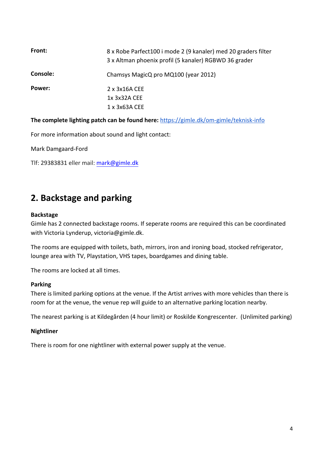| Front:   | 8 x Robe Parfect100 i mode 2 (9 kanaler) med 20 graders filter<br>3 x Altman phoenix profil (5 kanaler) RGBWD 36 grader |
|----------|-------------------------------------------------------------------------------------------------------------------------|
| Console: | Chamsys MagicQ pro MQ100 (year 2012)                                                                                    |
| Power:   | $2 \times 3 \times 16$ A CEE<br>1x 3x32A CEE<br>1 x 3x63A CEE                                                           |

**The complete lighting patch can be found here:** <https://gimle.dk/om-gimle/teknisk-info>

For more information about sound and light contact:

Mark Damgaard-Ford

Tlf: 29383831 eller mail: [mark@gimle.dk](mailto:mark@gimle.dk)

### **2. Backstage and parking**

#### **Backstage**

Gimle has 2 connected backstage rooms. If seperate rooms are required this can be coordinated with Victoria Lynderup, victoria@gimle.dk.

The rooms are equipped with toilets, bath, mirrors, iron and ironing boad, stocked refrigerator, lounge area with TV, Playstation, VHS tapes, boardgames and dining table.

The rooms are locked at all times.

#### **Parking**

There is limited parking options at the venue. If the Artist arrives with more vehicles than there is room for at the venue, the venue rep will guide to an alternative parking location nearby.

The nearest parking is at Kildegården (4 hour limit) or Roskilde Kongrescenter. (Unlimited parking)

#### **Nightliner**

There is room for one nightliner with external power supply at the venue.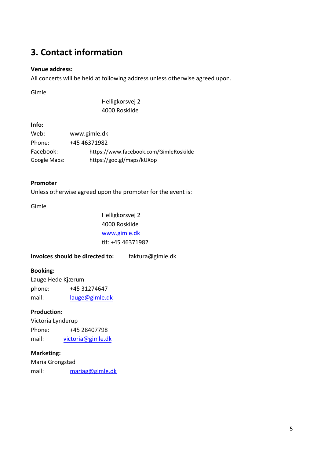## **3. Contact information**

#### **Venue address:**

All concerts will be held at following address unless otherwise agreed upon.

Gimle

Helligkorsvej 2 4000 Roskilde

#### **Info:**

| Web:         | www.gimle.dk                           |
|--------------|----------------------------------------|
| Phone:       | +45 46371982                           |
| Facebook:    | https://www.facebook.com/GimleRoskilde |
| Google Maps: | https://goo.gl/maps/kUXop              |

#### **Promoter**

Unless otherwise agreed upon the promoter for the event is:

#### Gimle

Helligkorsvej 2 4000 Roskilde [www.gimle.dk](http://www.gimle.dk/) tlf: +45 46371982

**Invoices should be directed to:** faktura@gimle.dk

#### **Booking:**

Lauge Hede Kjærum phone: +45 31274647 mail: [lauge@gimle.dk](mailto:lauge@gimle.dk)

#### **Production:**

Victoria Lynderup Phone: +45 28407798 mail: victoria[@gimle.dk](mailto:anne@gimle.dk)

#### **Marketing:**

Maria Grongstad mail: [mariag@gimle.dk](mailto:mariag@gimle.dk)